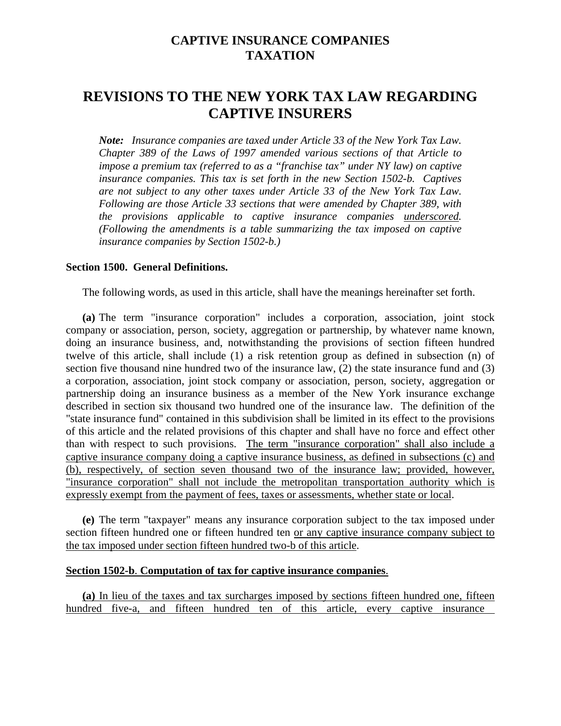## **CAPTIVE INSURANCE COMPANIES TAXATION**

# **REVISIONS TO THE NEW YORK TAX LAW REGARDING CAPTIVE INSURERS**

*Note: Insurance companies are taxed under Article 33 of the New York Tax Law. Chapter 389 of the Laws of 1997 amended various sections of that Article to impose a premium tax (referred to as a "franchise tax" under NY law) on captive insurance companies. This tax is set forth in the new Section 1502-b. Captives are not subject to any other taxes under Article 33 of the New York Tax Law. Following are those Article 33 sections that were amended by Chapter 389, with the provisions applicable to captive insurance companies underscored. (Following the amendments is a table summarizing the tax imposed on captive insurance companies by Section 1502-b.)* 

#### **Section 1500. General Definitions.**

The following words, as used in this article, shall have the meanings hereinafter set forth.

 of this article and the related provisions of this chapter and shall have no force and effect other expressly exempt from the payment of fees, taxes or assessments, whether state or local. **(a)** The term "insurance corporation" includes a corporation, association, joint stock company or association, person, society, aggregation or partnership, by whatever name known, doing an insurance business, and, notwithstanding the provisions of section fifteen hundred twelve of this article, shall include (1) a risk retention group as defined in subsection (n) of section five thousand nine hundred two of the insurance law, (2) the state insurance fund and (3) a corporation, association, joint stock company or association, person, society, aggregation or partnership doing an insurance business as a member of the New York insurance exchange described in section six thousand two hundred one of the insurance law. The definition of the "state insurance fund" contained in this subdivision shall be limited in its effect to the provisions than with respect to such provisions. The term "insurance corporation" shall also include a captive insurance company doing a captive insurance business, as defined in subsections (c) and (b), respectively, of section seven thousand two of the insurance law; provided, however, "insurance corporation" shall not include the metropolitan transportation authority which is

**(e)** The term "taxpayer" means any insurance corporation subject to the tax imposed under section fifteen hundred one or fifteen hundred ten or any captive insurance company subject to the tax imposed under section fifteen hundred two-b of this article.

### **Section 1502-b**. **Computation of tax for captive insurance companies**.

**(a)** In lieu of the taxes and tax surcharges imposed by sections fifteen hundred one, fifteen hundred five-a, and fifteen hundred ten of this article, every captive insurance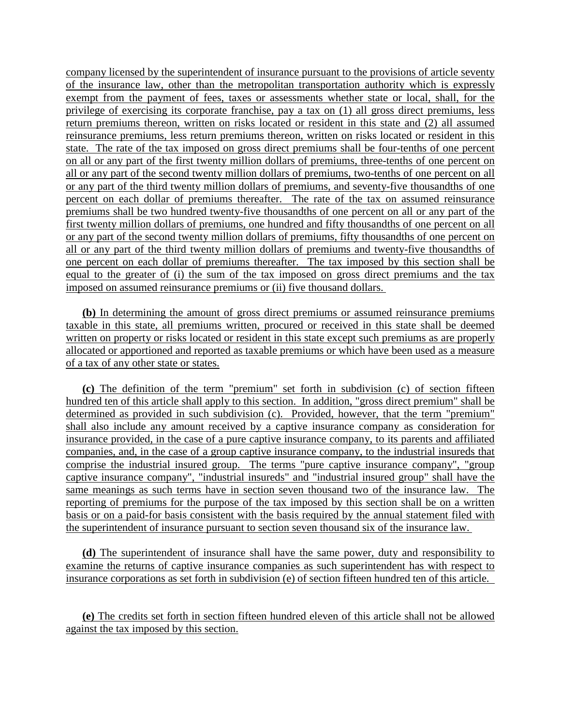privilege of exercising its corporate franchise, pay a tax on (1) all gross direct premiums, less on all or any part of the first twenty million dollars of premiums, three-tenths of one percent on first twenty million dollars of premiums, one hundred and fifty thousandths of one percent on all equal to the greater of (i) the sum of the tax imposed on gross direct premiums and the tax company licensed by the superintendent of insurance pursuant to the provisions of article seventy of the insurance law, other than the metropolitan transportation authority which is expressly exempt from the payment of fees, taxes or assessments whether state or local, shall, for the return premiums thereon, written on risks located or resident in this state and (2) all assumed reinsurance premiums, less return premiums thereon, written on risks located or resident in this state. The rate of the tax imposed on gross direct premiums shall be four-tenths of one percent all or any part of the second twenty million dollars of premiums, two-tenths of one percent on all or any part of the third twenty million dollars of premiums, and seventy-five thousandths of one percent on each dollar of premiums thereafter. The rate of the tax on assumed reinsurance premiums shall be two hundred twenty-five thousandths of one percent on all or any part of the or any part of the second twenty million dollars of premiums, fifty thousandths of one percent on all or any part of the third twenty million dollars of premiums and twenty-five thousandths of one percent on each dollar of premiums thereafter. The tax imposed by this section shall be imposed on assumed reinsurance premiums or (ii) five thousand dollars.

 **(b)** In determining the amount of gross direct premiums or assumed reinsurance premiums taxable in this state, all premiums written, procured or received in this state shall be deemed written on property or risks located or resident in this state except such premiums as are properly allocated or apportioned and reported as taxable premiums or which have been used as a measure of a tax of any other state or states.

 insurance provided, in the case of a pure captive insurance company, to its parents and affiliated reporting of premiums for the purpose of the tax imposed by this section shall be on a written **(c)** The definition of the term "premium" set forth in subdivision (c) of section fifteen hundred ten of this article shall apply to this section. In addition, "gross direct premium" shall be determined as provided in such subdivision (c). Provided, however, that the term "premium" shall also include any amount received by a captive insurance company as consideration for companies, and, in the case of a group captive insurance company, to the industrial insureds that comprise the industrial insured group. The terms "pure captive insurance company", "group captive insurance company", "industrial insureds" and "industrial insured group" shall have the same meanings as such terms have in section seven thousand two of the insurance law. The basis or on a paid-for basis consistent with the basis required by the annual statement filed with the superintendent of insurance pursuant to section seven thousand six of the insurance law.

 insurance corporations as set forth in subdivision (e) of section fifteen hundred ten of this article. **(d)** The superintendent of insurance shall have the same power, duty and responsibility to examine the returns of captive insurance companies as such superintendent has with respect to

**(e)** The credits set forth in section fifteen hundred eleven of this article shall not be allowed against the tax imposed by this section.